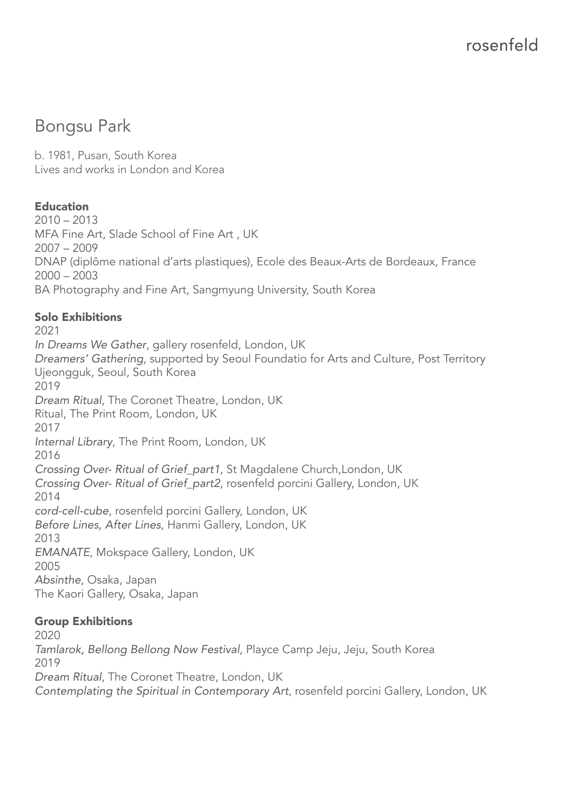# Bongsu Park

b. 1981, Pusan, South Korea Lives and works in London and Korea

# Education

 $2010 - 2013$ MFA Fine Art, Slade School of Fine Art , UK 2007 – 2009 DNAP (diplôme national d'arts plastiques), Ecole des Beaux-Arts de Bordeaux, France 2000 – 2003 BA Photography and Fine Art, Sangmyung University, South Korea

# Solo Exhibitions

2021 *In Dreams We Gather*, gallery rosenfeld, London, UK *Dreamers' Gathering*, supported by Seoul Foundatio for Arts and Culture, Post Territory Ujeongguk, Seoul, South Korea 2019 *Dream Ritual*, The Coronet Theatre, London, UK Ritual, The Print Room, London, UK 2017 *Internal Library*, The Print Room, London, UK 2016 *Crossing Over- Ritual of Grief\_part1*, St Magdalene Church,London, UK *Crossing Over- Ritual of Grief\_part2,* rosenfeld porcini Gallery, London, UK 2014 *cord-cell-cube*, rosenfeld porcini Gallery, London, UK *Before Lines, After Lines*, Hanmi Gallery, London, UK 2013 *EMANATE*, Mokspace Gallery, London, UK 2005 *Absinthe*, Osaka, Japan The Kaori Gallery, Osaka, Japan

#### Group Exhibitions

2020 *Tamlarok, Bellong Bellong Now Festival*, Playce Camp Jeju, Jeju, South Korea 2019 *Dream Ritual*, The Coronet Theatre, London, UK *Contemplating the Spiritual in Contemporary Art*, rosenfeld porcini Gallery, London, UK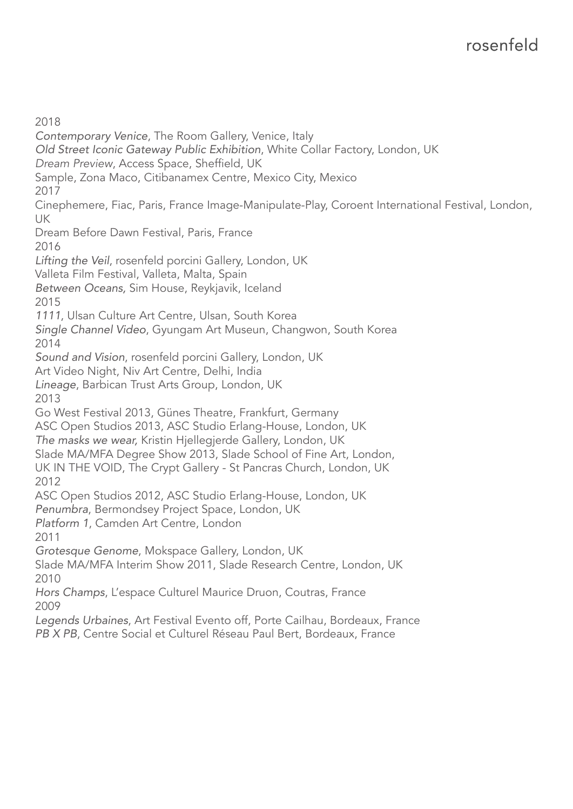2018 *Contemporary Venice*, The Room Gallery, Venice, Italy *Old Street Iconic Gateway Public Exhibition*, White Collar Factory, London, UK *Dream Preview*, Access Space, Sheffield, UK Sample, Zona Maco, Citibanamex Centre, Mexico City, Mexico 2017 Cinephemere, Fiac, Paris, France Image-Manipulate-Play, Coroent International Festival, London, UK Dream Before Dawn Festival, Paris, France 2016 *Lifting the Veil*, rosenfeld porcini Gallery, London, UK Valleta Film Festival, Valleta, Malta, Spain *Between Oceans,* Sim House, Reykjavik, Iceland 2015 *1111*, Ulsan Culture Art Centre, Ulsan, South Korea *Single Channel Video*, Gyungam Art Museun, Changwon, South Korea 2014 *Sound and Vision*, rosenfeld porcini Gallery, London, UK Art Video Night, Niv Art Centre, Delhi, India *Lineage*, Barbican Trust Arts Group, London, UK 2013 Go West Festival 2013, Günes Theatre, Frankfurt, Germany ASC Open Studios 2013, ASC Studio Erlang-House, London, UK *The masks we wear,* Kristin Hjellegjerde Gallery, London, UK Slade MA/MFA Degree Show 2013, Slade School of Fine Art, London, UK IN THE VOID, The Crypt Gallery - St Pancras Church, London, UK 2012 ASC Open Studios 2012, ASC Studio Erlang-House, London, UK *Penumbra*, Bermondsey Project Space, London, UK *Platform 1*, Camden Art Centre, London 2011 *Grotesque Genome*, Mokspace Gallery, London, UK Slade MA/MFA Interim Show 2011, Slade Research Centre, London, UK 2010 *Hors Champs*, L'espace Culturel Maurice Druon, Coutras, France 2009 *Legends Urbaines*, Art Festival Evento off, Porte Cailhau, Bordeaux, France *PB X PB*, Centre Social et Culturel Réseau Paul Bert, Bordeaux, France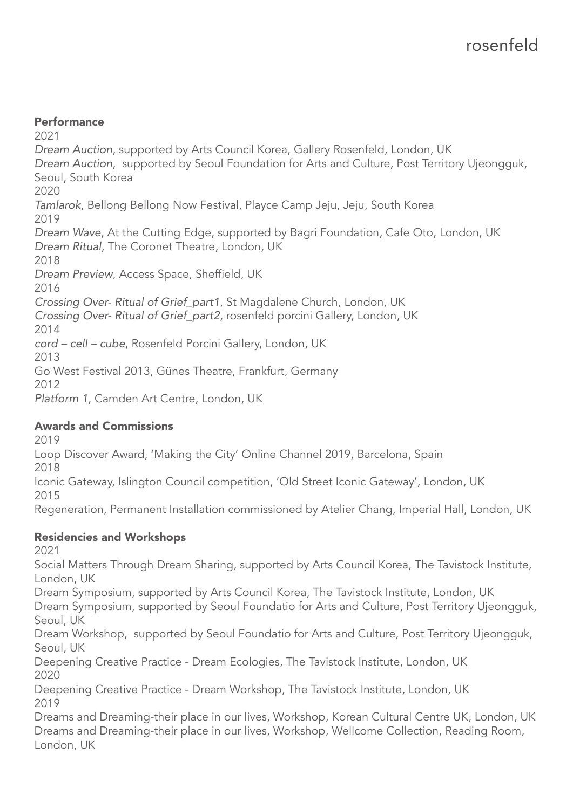#### **Performance**

2021 *Dream Auction*, supported by Arts Council Korea, Gallery Rosenfeld, London, UK *Dream Auction*, supported by Seoul Foundation for Arts and Culture, Post Territory Ujeongguk, Seoul, South Korea 2020 *Tamlarok*, Bellong Bellong Now Festival, Playce Camp Jeju, Jeju, South Korea 2019 *Dream Wave*, At the Cutting Edge, supported by Bagri Foundation, Cafe Oto, London, UK *Dream Ritual*, The Coronet Theatre, London, UK 2018 *Dream Preview*, Access Space, Sheffield, UK 2016 *Crossing Over- Ritual of Grief\_part1*, St Magdalene Church, London, UK *Crossing Over- Ritual of Grief\_part2*, rosenfeld porcini Gallery, London, UK 2014 *cord – cell – cube*, Rosenfeld Porcini Gallery, London, UK 2013 Go West Festival 2013, Günes Theatre, Frankfurt, Germany 2012 *Platform 1*, Camden Art Centre, London, UK

#### Awards and Commissions

2019

Loop Discover Award, 'Making the City' Online Channel 2019, Barcelona, Spain

2018

Iconic Gateway, Islington Council competition, 'Old Street Iconic Gateway', London, UK 2015

Regeneration, Permanent Installation commissioned by Atelier Chang, Imperial Hall, London, UK

#### Residencies and Workshops

2021

Social Matters Through Dream Sharing, supported by Arts Council Korea, The Tavistock Institute, London, UK

Dream Symposium, supported by Arts Council Korea, The Tavistock Institute, London, UK Dream Symposium, supported by Seoul Foundatio for Arts and Culture, Post Territory Ujeongguk, Seoul, UK

Dream Workshop, supported by Seoul Foundatio for Arts and Culture, Post Territory Ujeongguk, Seoul, UK

Deepening Creative Practice - Dream Ecologies, The Tavistock Institute, London, UK 2020

Deepening Creative Practice - Dream Workshop, The Tavistock Institute, London, UK 2019

Dreams and Dreaming-their place in our lives, Workshop, Korean Cultural Centre UK, London, UK Dreams and Dreaming-their place in our lives, Workshop, Wellcome Collection, Reading Room, London, UK